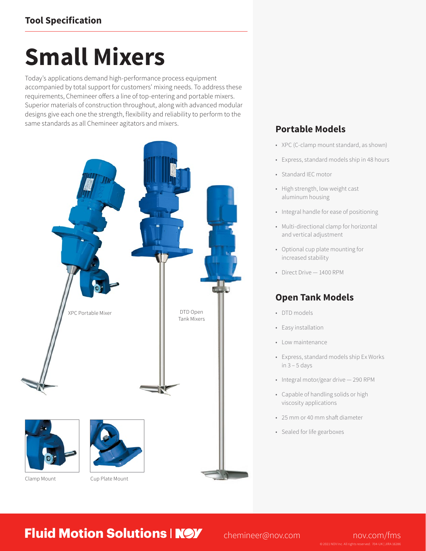# **Small Mixers**

Today's applications demand high-performance process equipment accompanied by total support for customers' mixing needs. To address these requirements, Chemineer offers a line of top-entering and portable mixers. Superior materials of construction throughout, along with advanced modular designs give each one the strength, flexibility and reliability to perform to the same standards as all Chemineer agitators and mixers.



### **Portable Models**

- XPC (C-clamp mount standard, as shown)
- Express, standard models ship in 48 hours
- Standard IEC motor
- High strength, low weight cast aluminum housing
- Integral handle for ease of positioning
- Multi-directional clamp for horizontal and vertical adjustment
- Optional cup plate mounting for increased stability
- Direct Drive 1400 RPM

## **Open Tank Models**

- DTD models
- Easy installation
- Low maintenance
- Express, standard models ship Ex Works in  $3 - 5$  days
- Integral motor/gear drive 290 RPM
- Capable of handling solids or high viscosity applications
- 25 mm or 40 mm shaft diameter
- Sealed for life gearboxes

**Fluid Motion Solutions | NOV** chemineer@nov.com nov.com/fms